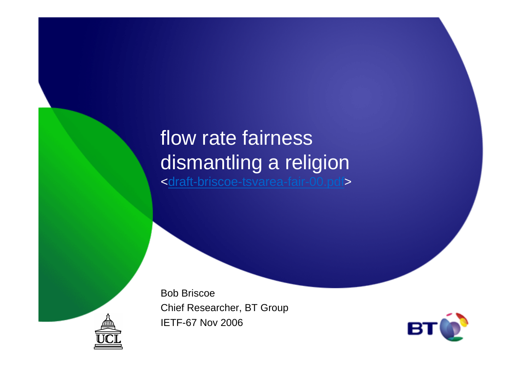#### flow rate fairness dismantling a religion<draft-briscoe-tsvarea-fair-00.pdf>

Bob BriscoeChief Researcher, BT GroupIETF-67 Nov 2006



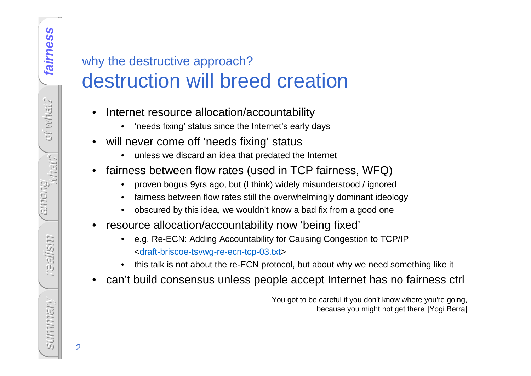#### why the destructive approach? destruction will breed creation

- • Internet resource allocation/accountability
	- •'needs fixing' status since the Internet's early days
- • will never come off 'needs fixing' status
	- unless we discard an idea that predated the Internet
- • fairness between flow rates (used in TCP fairness, WFQ)
	- •proven bogus 9yrs ago, but (I think) widely misunderstood / ignored
	- fairness between flow rates still the overwhelmingly dominant ideology•
	- $\bullet$ obscured by this idea, we wouldn't know a bad fix from a good one
- • resource allocation/accountability now 'being fixed'
	- • e.g. Re-ECN: Adding Accountability for Causing Congestion to TCP/IP<draft-briscoe-tsvwg-re-ecn-tcp-03.txt>
	- this talk is not about the re-ECN protocol, but about why we need something like it •
- •can't build consensus unless people accept Internet has no fairness ctrl

You got to be careful if you don't know where you're going, because you might not get there [Yogi Berra]

2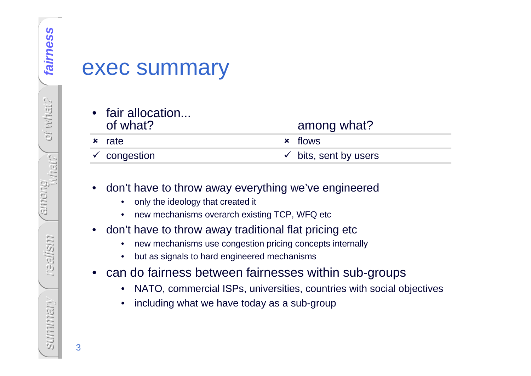#### exec summary

#### • fair allocation... of what?

### among what?

 $\boldsymbol{\mathsf{x}}$ rate

- congestion

**x** flows  $\checkmark$  bits, sent by users

#### •don't have to throw away everything we've engineered

- •only the ideology that created it
- •new mechanisms overarch existing TCP, WFQ etc
- $\bullet$  don't have to throw away traditional flat pricing etc
	- new mechanisms use congestion pricing concepts internally $\bullet$
	- •but as signals to hard engineered mechanisms
- $\bullet$  can do fairness between fairnesses within sub-groups
	- NATO, commercial ISPs, universities, countries with social objectives•
	- •including what we have today as a sub-group

3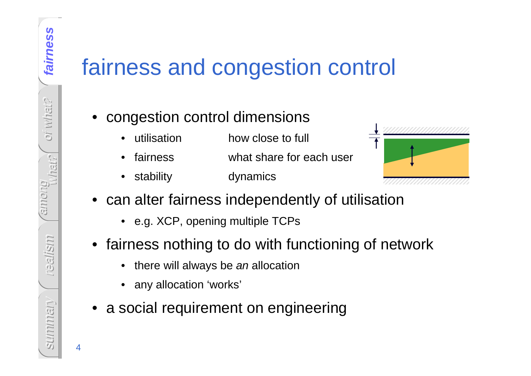4

# fairness and congestion control

#### • congestion control dimensions

- •utilisation how close to full
- •fairness what share for each user
- •stability dynamics



- can alter fairness independently of utilisation
	- e.g. XCP, opening multiple TCPs
- fairness nothing to do with functioning of network
	- •there will always be an allocation
	- •any allocation 'works'
- a social requirement on engineering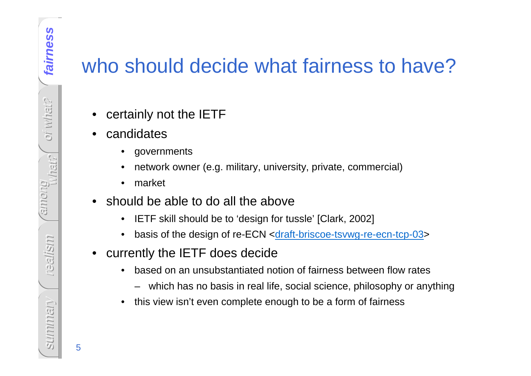### who should decide what fairness to have?

- •certainly not the IETF
- $\bullet$  candidates
	- •governments
	- •network owner (e.g. military, university, private, commercial)
	- $\bullet$ market
- • should be able to do all the above
	- IETF skill should be to 'design for tussle' [Clark, 2002]  $\bullet$
	- $\bullet$ basis of the design of re-ECN <draft-briscoe-tsvwg-re-ecn-tcp-03>
- • currently the IETF does decide
	- • based on an unsubstantiated notion of fairness between flow rates
		- which has no basis in real life, social science, philosophy or anything
	- •this view isn't even complete enough to be a form of fairness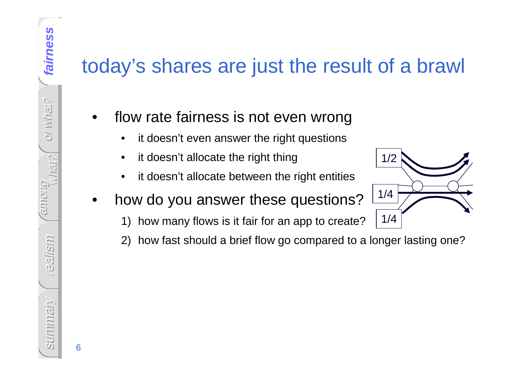### today's shares are just the result of a brawl

- • flow rate fairness is not even wrong
	- •it doesn't even answer the right questions
	- •it doesn't allocate the right thing
	- •it doesn't allocate between the right entities
- • how do you answer these questions?
	- 1) how many flows is it fair for an app to create?
	- 2) how fast should a brief flow go compared to a longer lasting one?

1/2

1/4

1/4

what? among realism Summariany summary

6

fairness

**fairness**

oi what?

oi what?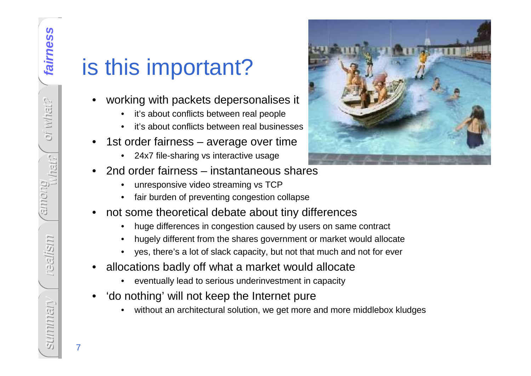7

# is this important?

- • working with packets depersonalises it
	- •it's about conflicts between real people
	- it's about conflicts between real businesses•
- • 1st order fairness – average over time
	- •24x7 file-sharing vs interactive usage
- • 2nd order fairness – instantaneous shares
	- •unresponsive video streaming vs TCP
	- fair burden of preventing congestion collapse•
- • not some theoretical debate about tiny differences
	- huge differences in congestion caused by users on same contract •
	- •hugely different from the shares government or market would allocate
	- yes, there's a lot of slack capacity, but not that much and not for ever•
- • allocations badly off what a market would allocate
	- •eventually lead to serious underinvestment in capacity
- • 'do nothing' will not keep the Internet pure
	- without an architectural solution, we get more and more middlebox kludges•

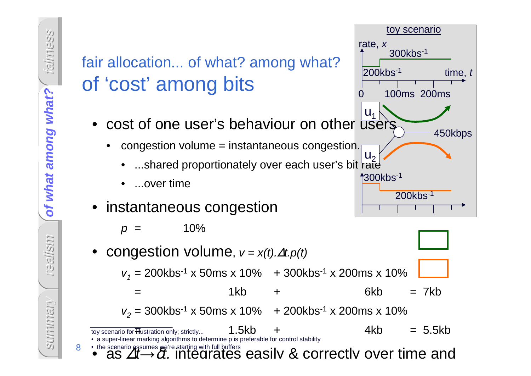8



300kbs-1

200kbs-1

450kbps

time, t

 $p =$  $10%$ 

•congestion volume,  $v = x(t) \Delta t. p(t)$  $v_1$  = 200kbs<sup>-1</sup> x 50ms x 10% + 300kbs<sup>-1</sup> x 200ms x 10% = 1kb + 6kb = 7kb $v_2$  = 300kbs<sup>-1</sup> x 50ms x 10% + 200kbs<sup>-1</sup> x 200ms x 10% toy scenario for <del>m</del>ustration only; strictly...  $1.5kb$  +  $4kb$  = 5.5kb • a super-linear marking algorithms to determine p is preferable for control stability

• the scenario assumes we're starting with full buffers easily & correctly over time and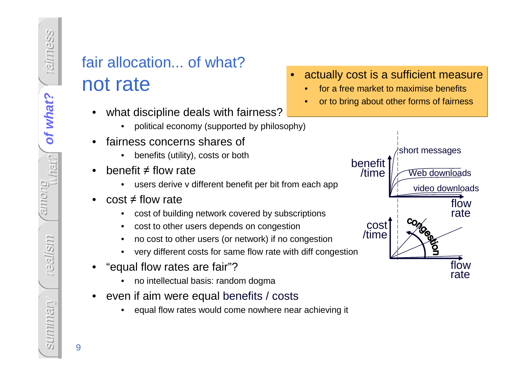#### fair allocation... of what?not rate

- • what discipline deals with fairness?
	- political economy (supported by philosophy)•
- • fairness concerns shares of
	- benefits (utility), costs or both
- • benefit ≠ flow rate
	- users derive v different benefit per bit from each app•
- • cost ≠ flow rate
	- cost of building network covered by subscriptions•
	- •cost to other users depends on congestion
	- no cost to other users (or network) if no congestion•
	- •very different costs for same flow rate with diff congestion
- • "equal flow rates are fair"?
	- no intellectual basis: random dogma•
- • even if aim were equal benefits / costs
	- equal flow rates would come nowhere near achieving it •



- •for a free market to maximise benefits
- or to bring about other forms of fairness•



9

summary

sunnmany

fairness

of what?

of what? **of what?**

among

realism

what?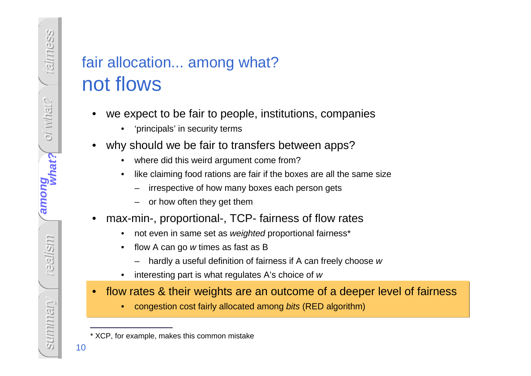#### fair allocation... among what?not flows

- • we expect to be fair to people, institutions, companies
	- 'principals' in security terms
- • why should we be fair to transfers between apps?
	- •where did this weird argument come from?
	- • like claiming food rations are fair if the boxes are all the same size
		- irrespective of how many boxes each person gets
		- or how often they get them
- • max-min-, proportional-, TCP- fairness of flow rates
	- •not even in same set as weighted proportional fairness\*
	- • flow A can go w times as fast as B
		- hardly a useful definition of fairness if A can freely choose w
	- •interesting part is what regulates A's choice of w
- $\bullet$  flow rates & their weights are an outcome of a deeper level of fairness
	- •congestion cost fairly allocated among bits (RED algorithm)

fairness

oi what?

oi what?

among

**among**

realism

what?

**what?**

<sup>\*</sup> XCP, for example, makes this common mistake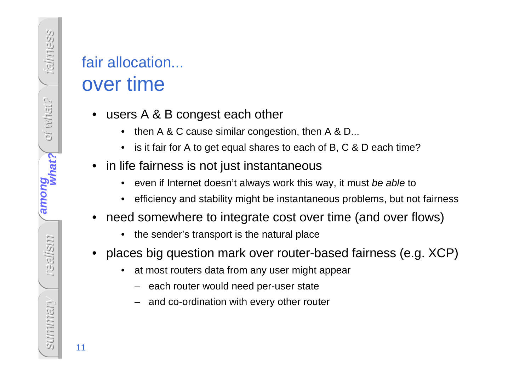#### fair allocation... over time

- users A & B congest each other
	- then A & C cause similar congestion, then A & D...
	- is it fair for A to get equal shares to each of B, C & D each time?
- • in life fairness is not just instantaneous
	- •even if Internet doesn't always work this way, it must be able to
	- •efficiency and stability might be instantaneous problems, but not fairness
- • need somewhere to integrate cost over time (and over flows)
	- •the sender's transport is the natural place
- • places big question mark over router-based fairness (e.g. XCP)
	- • at most routers data from any user might appear
		- each router would need per-user state
		- and co-ordination with every other router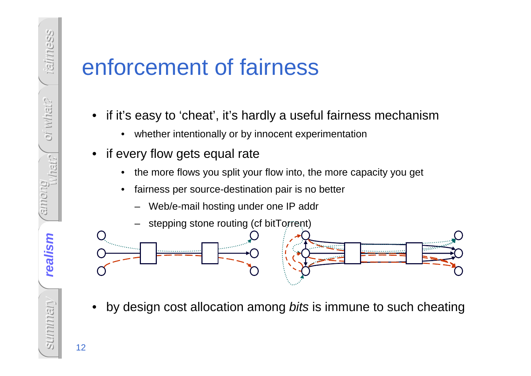## enforcement of fairness

- • if it's easy to 'cheat', it's hardly a useful fairness mechanism
	- $\bullet$ whether intentionally or by innocent experimentation
- if every flow gets equal rate
	- •the more flows you split your flow into, the more capacity you get
	- • fairness per source-destination pair is no better
		- Web/e-mail hosting under one IP addr



•by design cost allocation among bits is immune to such cheating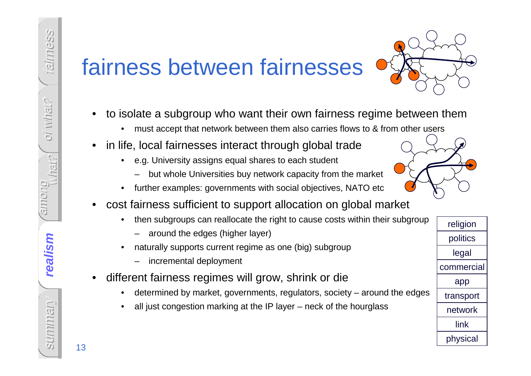# fairness between fairnesses



- • to isolate a subgroup who want their own fairness regime between them
	- •must accept that network between them also carries flows to & from other users
- • in life, local fairnesses interact through global trade
	- • e.g. University assigns equal shares to each student
		- but whole Universities buy network capacity from the market
	- •further examples: governments with social objectives, NATO etc
- • cost fairness sufficient to support allocation on global market
	- $\bullet$  then subgroups can reallocate the right to cause costs within their subgroup
		- around the edges (higher layer)
	- • naturally supports current regime as one (big) subgroup
		- incremental deployment
- • different fairness regimes will grow, shrink or di e
	- determined by market, governments, regulators, society around the edges•
	- •all just congestion marking at the IP layer – neck of the hourglass

religionpoliticslegalcommercialapptransportnetworklinkphysical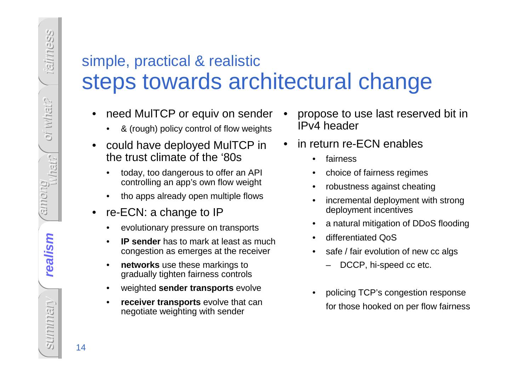#### simple, practical & realistic steps towards architectural change

- • need MulTCP or equiv on sender
	- •& (rough) policy control of flow weights
- • could have deployed MulTCP in the trust climate of the '80s
	- • today, too dangerous to offer an API controlling an app's own flow weight
	- •tho apps already open multiple flows
- • re-ECN: a change to IP
	- evolutionary pressure on transports•
	- • **IP sender** has to mark at least as much congestion as emerges at the receiver
	- •**networks** use these markings to gradually tighten fairness controls
	- •weighted **sender transports** evolve
	- • **receiver transports** evolve that can negotiate weighting with sender
- • propose to use last reserved bit in IPv4 header
- • in return re-ECN enables
	- •fairness
	- •choice of fairness regimes
	- •robustness against cheating
	- • incremental deployment with strong deployment incentives
	- •a natural mitigation of DDoS flooding
	- •differentiated QoS
	- safe / fair evolution of new cc algs •
		- –DCCP, hi-speed cc etc.
	- • policing TCP's congestion responsefor those hooked on per flow fairness

fairness

oi what?

oi what?

among

realism **realism**

what?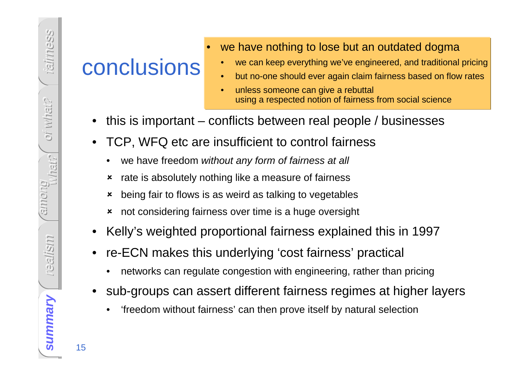### conclusions

- we have nothing to lose but an outdated dogma
	- we can keep everything we've engineered, and traditional pricing•
	- •but no-one should ever again claim fairness based on flow rates
	- • unless someone can give a rebuttal using a respected notion of fairness from social science
- •this is important – conflicts between real people / businesses
- • TCP, WFQ etc are insufficient to control fairness
	- •we have freedom without any form of fairness at all

•

- **\*** rate is absolutely nothing like a measure of fairness
- being fair to flows is as weird as talking to vegetables
- $\boldsymbol{\mathsf{x}}$ not considering fairness over time is a huge oversight
- •Kelly's weighted proportional fairness explained this in 1997
- • re-ECN makes this underlying 'cost fairness' practical
	- •networks can regulate congestion with engineering, rather than pricing
- • sub-groups can assert different fairness regimes at higher layers
	- •'freedom without fairness' can then prove itself by natural selection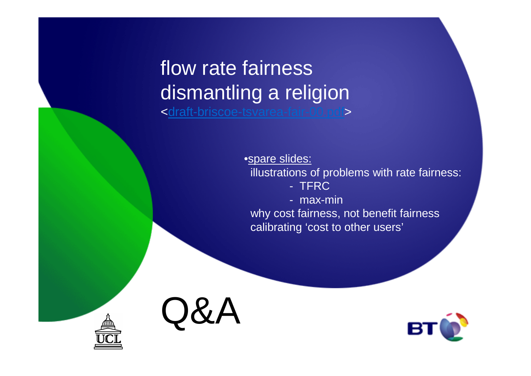#### flow rate fairness dismantling a religion<draft-briscoe-tsvarea-fair-00.pdf>

•spare slides: illustrations of problems with rate fairness:- TFRC- max-min

 why cost fairness, not benefit fairnesscalibrating 'cost to other users'



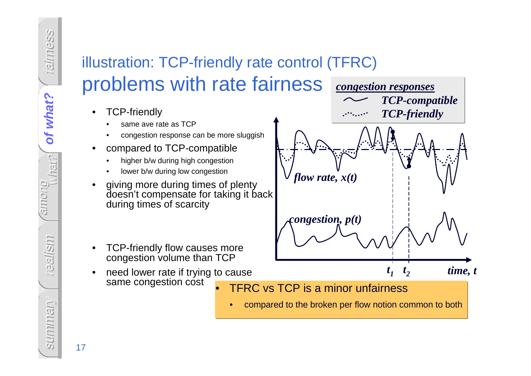### illustration: TCP-friendly rate control (TFRC)problems with rate fairness

- • TCP-friendly
	- same ave rate as TCP•
	- congestion response can be more sluggish•
- • compared to TCP-compatible
	- higher b/w during high congestion•
	- •lower b/w during low congestion
- • giving more during times of plenty doesn't compensate for taking it back during times of scarcity
- • TCP-friendly flow causes more congestion volume than TCP
- need lower rate if trying to cause •same congestion cost•



•compared to the broken per flow notion common to both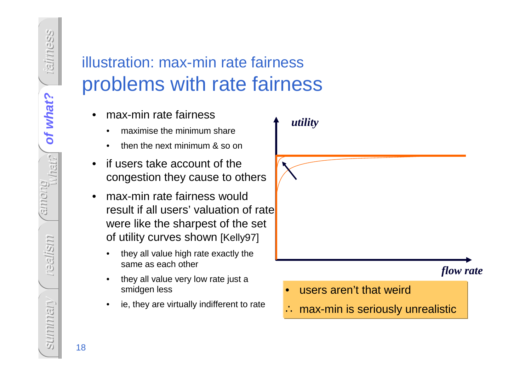#### illustration: max-min rate fairnessproblems with rate fairness

- • max-min rate fairness
	- •maximise the minimum share
	- •then the next minimum & so on
- • if users take account of the congestion they cause to others
- • max-min rate fairness would result if all users' valuation of rate were like the sharpest of the set of utility curves shown [Kelly97]
	- • they all value high rate exactly the same as each other
	- • they all value very low rate just a smidgen less
	- •ie, they are virtually indifferent to rate

*utility*

#### *flow rate*

- $\bullet$ users aren't that weird
- ∴ max-min is seriously unrealistic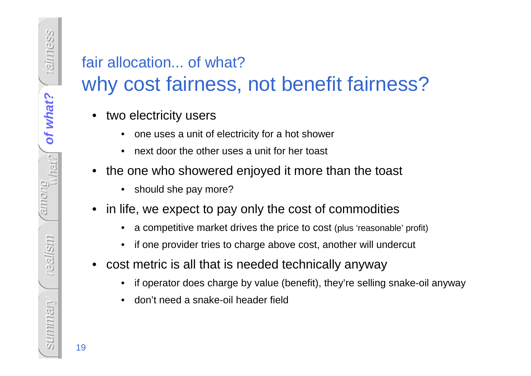# fair allocation... of what?

#### why cost fairness, not benefit fairness?

- • two electricity users
	- •one uses a unit of electricity for a hot shower
	- •next door the other uses a unit for her toast
- • the one who showered enjoyed it more than the toast
	- $\bullet$ should she pay more?
- • in life, we expect to pay only the cost of commodities
	- •a competitive market drives the price to cost (plus 'reasonable' profit)
	- •if one provider tries to charge above cost, another will undercut
- $\bullet$  cost metric is all that is needed technically anyway
	- •if operator does charge by value (benefit), they're selling snake-oil anyway
	- •don't need a snake-oil header field